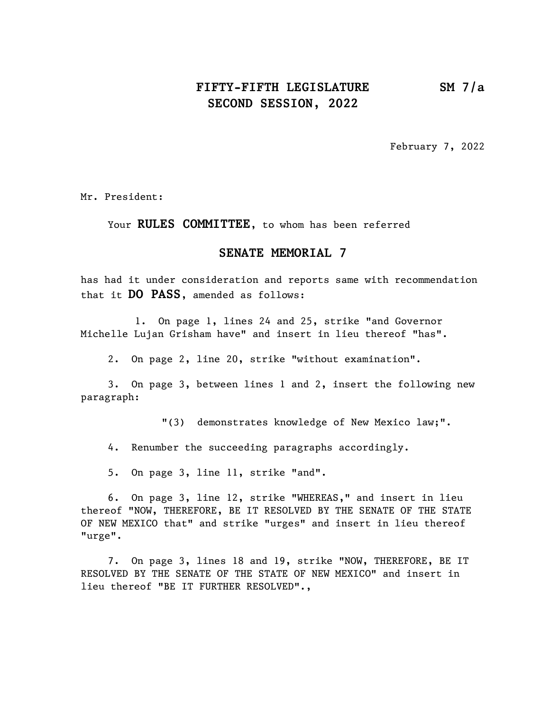## FIFTY-FIFTH LEGISLATURE SM 7/a SECOND SESSION, 2022

February 7, 2022

Mr. President:

Your RULES COMMITTEE, to whom has been referred

## SENATE MEMORIAL 7

has had it under consideration and reports same with recommendation that it DO PASS, amended as follows:

1. On page 1, lines 24 and 25, strike "and Governor Michelle Lujan Grisham have" and insert in lieu thereof "has".

2. On page 2, line 20, strike "without examination".

3. On page 3, between lines 1 and 2, insert the following new paragraph:

"(3) demonstrates knowledge of New Mexico law;".

4. Renumber the succeeding paragraphs accordingly.

5. On page 3, line 11, strike "and".

6. On page 3, line 12, strike "WHEREAS," and insert in lieu thereof "NOW, THEREFORE, BE IT RESOLVED BY THE SENATE OF THE STATE OF NEW MEXICO that" and strike "urges" and insert in lieu thereof "urge".

7. On page 3, lines 18 and 19, strike "NOW, THEREFORE, BE IT RESOLVED BY THE SENATE OF THE STATE OF NEW MEXICO" and insert in lieu thereof "BE IT FURTHER RESOLVED".,